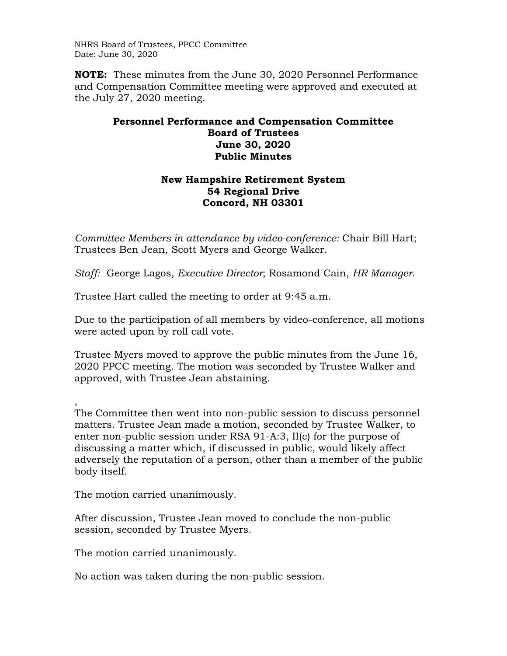NHRS Board of Trustees, PPCC Committee Date: June 30, 2020

**NOTE:** These minutes from the June 30, 2020 Personnel Performance and Compensation Committee meeting were approved and executed at the July 27, 2020 meeting.

## **Personnel Performance and Compensation Committee Board of Trustees June 30, 2020 Public Minutes**

## **New Hampshire Retirement System 54 Regional Drive Concord, NH 03301**

*Committee Members in attendance by video-conference:* Chair Bill Hart; Trustees Ben Jean, Scott Myers and George Walker.

*Staff:* George Lagos, *Executive Director*; Rosamond Cain, *HR Manager*.

Trustee Hart called the meeting to order at 9:45 a.m.

Due to the participation of all members by video-conference, all motions were acted upon by roll call vote.

Trustee Myers moved to approve the public minutes from the June 16, 2020 PPCC meeting. The motion was seconded by Trustee Walker and approved, with Trustee Jean abstaining.

, The Committee then went into non-public session to discuss personnel matters. Trustee Jean made a motion, seconded by Trustee Walker, to enter non-public session under RSA 91-A:3, II(c) for the purpose of discussing a matter which, if discussed in public, would likely affect adversely the reputation of a person, other than a member of the public body itself.

The motion carried unanimously.

After discussion, Trustee Jean moved to conclude the non-public session, seconded by Trustee Myers.

The motion carried unanimously.

No action was taken during the non-public session.